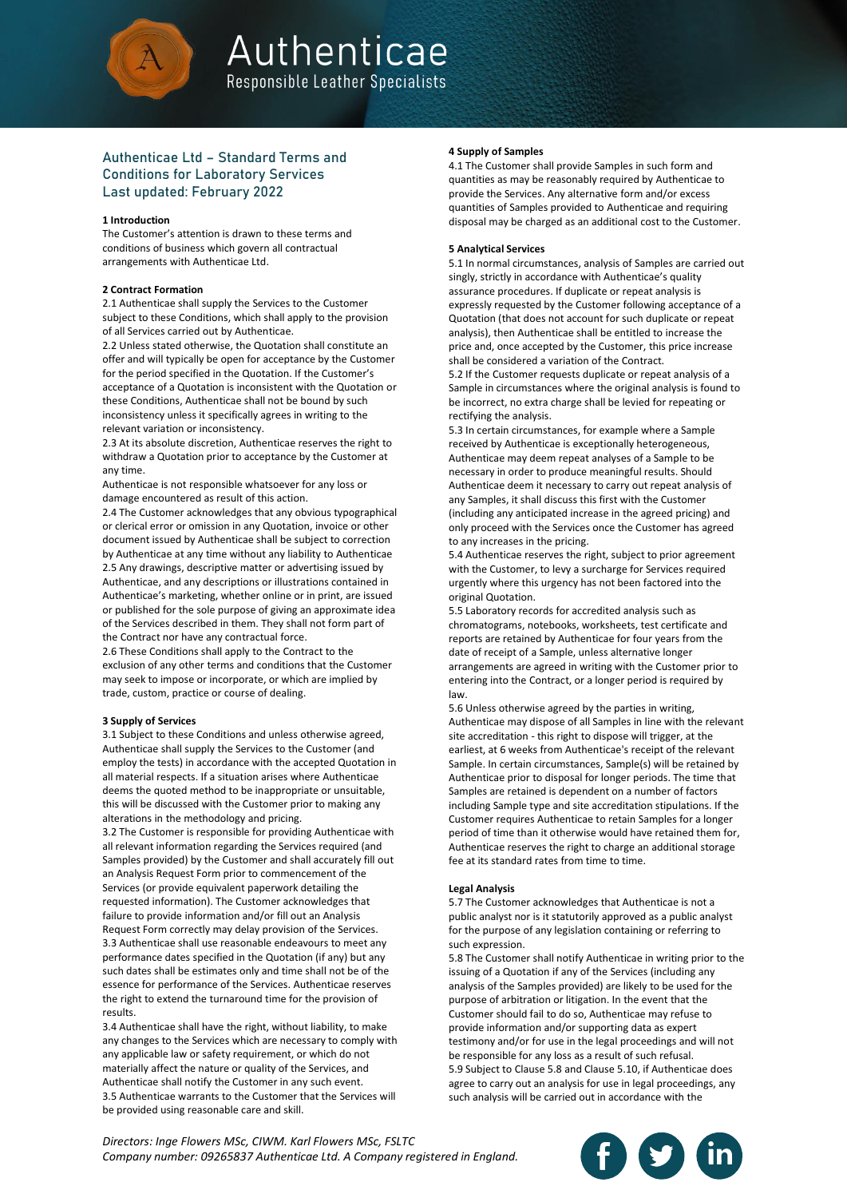

# **Authenticae Ltd – Standard Terms and Conditions for Laboratory Services Last updated: February 2022**

# **1 Introduction**

The Customer's attention is drawn to these terms and conditions of business which govern all contractual arrangements with Authenticae Ltd.

# **2 Contract Formation**

2.1 Authenticae shall supply the Services to the Customer subject to these Conditions, which shall apply to the provision of all Services carried out by Authenticae.

2.2 Unless stated otherwise, the Quotation shall constitute an offer and will typically be open for acceptance by the Customer for the period specified in the Quotation. If the Customer's acceptance of a Quotation is inconsistent with the Quotation or these Conditions, Authenticae shall not be bound by such inconsistency unless it specifically agrees in writing to the relevant variation or inconsistency.

2.3 At its absolute discretion, Authenticae reserves the right to withdraw a Quotation prior to acceptance by the Customer at any time.

Authenticae is not responsible whatsoever for any loss or damage encountered as result of this action.

2.4 The Customer acknowledges that any obvious typographical or clerical error or omission in any Quotation, invoice or other document issued by Authenticae shall be subject to correction by Authenticae at any time without any liability to Authenticae 2.5 Any drawings, descriptive matter or advertising issued by Authenticae, and any descriptions or illustrations contained in Authenticae's marketing, whether online or in print, are issued or published for the sole purpose of giving an approximate idea of the Services described in them. They shall not form part of the Contract nor have any contractual force.

2.6 These Conditions shall apply to the Contract to the exclusion of any other terms and conditions that the Customer may seek to impose or incorporate, or which are implied by trade, custom, practice or course of dealing.

# **3 Supply of Services**

3.1 Subject to these Conditions and unless otherwise agreed, Authenticae shall supply the Services to the Customer (and employ the tests) in accordance with the accepted Quotation in all material respects. If a situation arises where Authenticae deems the quoted method to be inappropriate or unsuitable, this will be discussed with the Customer prior to making any alterations in the methodology and pricing.

3.2 The Customer is responsible for providing Authenticae with all relevant information regarding the Services required (and Samples provided) by the Customer and shall accurately fill out an Analysis Request Form prior to commencement of the Services (or provide equivalent paperwork detailing the requested information). The Customer acknowledges that failure to provide information and/or fill out an Analysis Request Form correctly may delay provision of the Services. 3.3 Authenticae shall use reasonable endeavours to meet any performance dates specified in the Quotation (if any) but any such dates shall be estimates only and time shall not be of the essence for performance of the Services. Authenticae reserves the right to extend the turnaround time for the provision of results.

3.4 Authenticae shall have the right, without liability, to make any changes to the Services which are necessary to comply with any applicable law or safety requirement, or which do not materially affect the nature or quality of the Services, and Authenticae shall notify the Customer in any such event. 3.5 Authenticae warrants to the Customer that the Services will be provided using reasonable care and skill.

# **4 Supply of Samples**

4.1 The Customer shall provide Samples in such form and quantities as may be reasonably required by Authenticae to provide the Services. Any alternative form and/or excess quantities of Samples provided to Authenticae and requiring disposal may be charged as an additional cost to the Customer.

# **5 Analytical Services**

5.1 In normal circumstances, analysis of Samples are carried out singly, strictly in accordance with Authenticae's quality assurance procedures. If duplicate or repeat analysis is expressly requested by the Customer following acceptance of a Quotation (that does not account for such duplicate or repeat analysis), then Authenticae shall be entitled to increase the price and, once accepted by the Customer, this price increase shall be considered a variation of the Contract.

5.2 If the Customer requests duplicate or repeat analysis of a Sample in circumstances where the original analysis is found to be incorrect, no extra charge shall be levied for repeating or rectifying the analysis.

5.3 In certain circumstances, for example where a Sample received by Authenticae is exceptionally heterogeneous, Authenticae may deem repeat analyses of a Sample to be necessary in order to produce meaningful results. Should Authenticae deem it necessary to carry out repeat analysis of any Samples, it shall discuss this first with the Customer (including any anticipated increase in the agreed pricing) and only proceed with the Services once the Customer has agreed to any increases in the pricing.

5.4 Authenticae reserves the right, subject to prior agreement with the Customer, to levy a surcharge for Services required urgently where this urgency has not been factored into the original Quotation.

5.5 Laboratory records for accredited analysis such as chromatograms, notebooks, worksheets, test certificate and reports are retained by Authenticae for four years from the date of receipt of a Sample, unless alternative longer arrangements are agreed in writing with the Customer prior to entering into the Contract, or a longer period is required by law.

5.6 Unless otherwise agreed by the parties in writing, Authenticae may dispose of all Samples in line with the relevant site accreditation - this right to dispose will trigger, at the earliest, at 6 weeks from Authenticae's receipt of the relevant Sample. In certain circumstances, Sample(s) will be retained by Authenticae prior to disposal for longer periods. The time that Samples are retained is dependent on a number of factors including Sample type and site accreditation stipulations. If the Customer requires Authenticae to retain Samples for a longer period of time than it otherwise would have retained them for, Authenticae reserves the right to charge an additional storage fee at its standard rates from time to time.

#### **Legal Analysis**

5.7 The Customer acknowledges that Authenticae is not a public analyst nor is it statutorily approved as a public analyst for the purpose of any legislation containing or referring to such expression.

5.8 The Customer shall notify Authenticae in writing prior to the issuing of a Quotation if any of the Services (including any analysis of the Samples provided) are likely to be used for the purpose of arbitration or litigation. In the event that the Customer should fail to do so, Authenticae may refuse to provide information and/or supporting data as expert testimony and/or for use in the legal proceedings and will not be responsible for any loss as a result of such refusal. 5.9 Subject to Clause 5.8 and Clause 5.10, if Authenticae does agree to carry out an analysis for use in legal proceedings, any such analysis will be carried out in accordance with the

*Directors: Inge Flowers MSc, CIWM. Karl Flowers MSc, FSLTC Company number: 09265837 Authenticae Ltd. A Company registered in England.* 

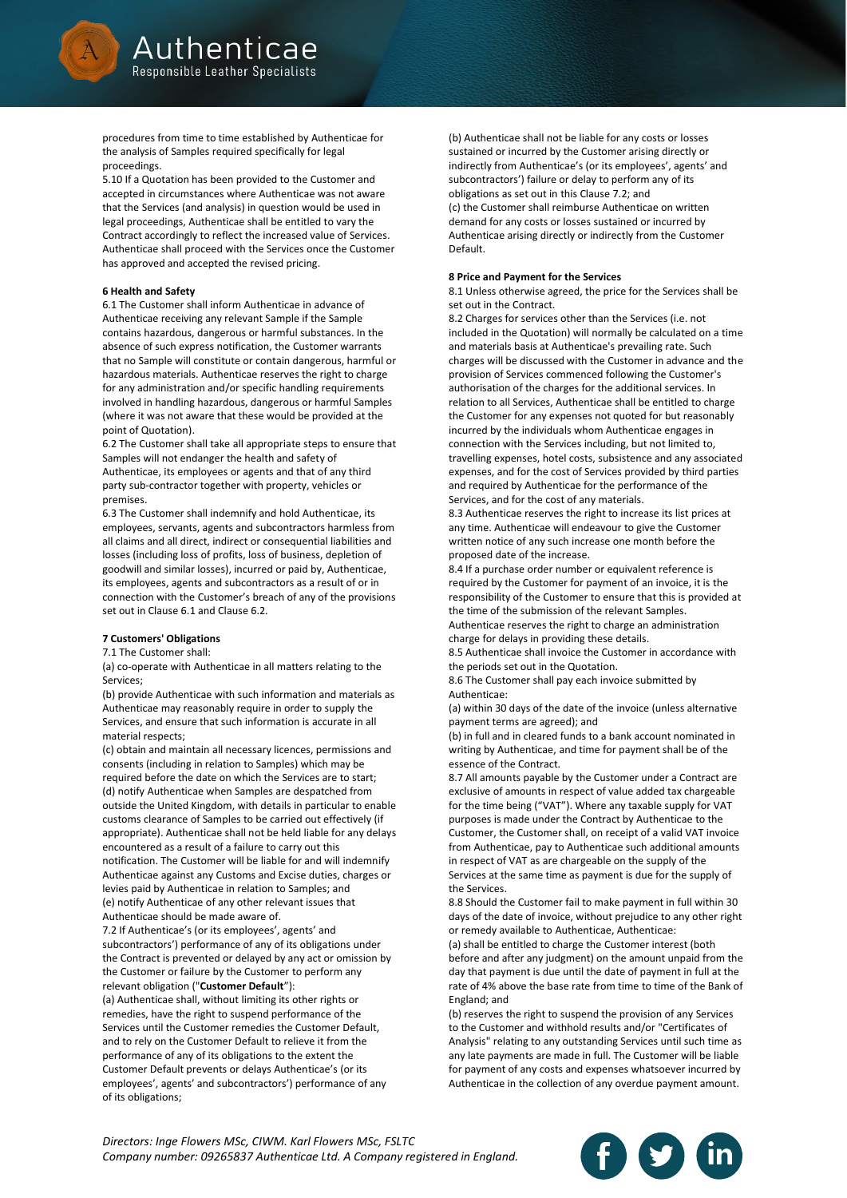

procedures from time to time established by Authenticae for the analysis of Samples required specifically for legal proceedings.

5.10 If a Quotation has been provided to the Customer and accepted in circumstances where Authenticae was not aware that the Services (and analysis) in question would be used in legal proceedings, Authenticae shall be entitled to vary the Contract accordingly to reflect the increased value of Services. Authenticae shall proceed with the Services once the Customer has approved and accepted the revised pricing.

# **6 Health and Safety**

6.1 The Customer shall inform Authenticae in advance of Authenticae receiving any relevant Sample if the Sample contains hazardous, dangerous or harmful substances. In the absence of such express notification, the Customer warrants that no Sample will constitute or contain dangerous, harmful or hazardous materials. Authenticae reserves the right to charge for any administration and/or specific handling requirements involved in handling hazardous, dangerous or harmful Samples (where it was not aware that these would be provided at the point of Quotation).

6.2 The Customer shall take all appropriate steps to ensure that Samples will not endanger the health and safety of Authenticae, its employees or agents and that of any third party sub-contractor together with property, vehicles or premises.

6.3 The Customer shall indemnify and hold Authenticae, its employees, servants, agents and subcontractors harmless from all claims and all direct, indirect or consequential liabilities and losses (including loss of profits, loss of business, depletion of goodwill and similar losses), incurred or paid by, Authenticae, its employees, agents and subcontractors as a result of or in connection with the Customer's breach of any of the provisions set out in Clause 6.1 and Clause 6.2.

# **7 Customers' Obligations**

7.1 The Customer shall:

(a) co-operate with Authenticae in all matters relating to the Services;

(b) provide Authenticae with such information and materials as Authenticae may reasonably require in order to supply the Services, and ensure that such information is accurate in all material respects;

(c) obtain and maintain all necessary licences, permissions and consents (including in relation to Samples) which may be required before the date on which the Services are to start; (d) notify Authenticae when Samples are despatched from outside the United Kingdom, with details in particular to enable customs clearance of Samples to be carried out effectively (if appropriate). Authenticae shall not be held liable for any delays encountered as a result of a failure to carry out this notification. The Customer will be liable for and will indemnify Authenticae against any Customs and Excise duties, charges or levies paid by Authenticae in relation to Samples; and (e) notify Authenticae of any other relevant issues that Authenticae should be made aware of.

7.2 If Authenticae's (or its employees', agents' and subcontractors') performance of any of its obligations under the Contract is prevented or delayed by any act or omission by the Customer or failure by the Customer to perform any relevant obligation ("**Customer Default**"):

(a) Authenticae shall, without limiting its other rights or remedies, have the right to suspend performance of the Services until the Customer remedies the Customer Default, and to rely on the Customer Default to relieve it from the performance of any of its obligations to the extent the Customer Default prevents or delays Authenticae's (or its employees', agents' and subcontractors') performance of any of its obligations;

(b) Authenticae shall not be liable for any costs or losses sustained or incurred by the Customer arising directly or indirectly from Authenticae's (or its employees', agents' and subcontractors') failure or delay to perform any of its obligations as set out in this Clause 7.2; and (c) the Customer shall reimburse Authenticae on written demand for any costs or losses sustained or incurred by Authenticae arising directly or indirectly from the Customer Default.

## **8 Price and Payment for the Services**

8.1 Unless otherwise agreed, the price for the Services shall be set out in the Contract.

8.2 Charges for services other than the Services (i.e. not included in the Quotation) will normally be calculated on a time and materials basis at Authenticae's prevailing rate. Such charges will be discussed with the Customer in advance and the provision of Services commenced following the Customer's authorisation of the charges for the additional services. In relation to all Services, Authenticae shall be entitled to charge the Customer for any expenses not quoted for but reasonably incurred by the individuals whom Authenticae engages in connection with the Services including, but not limited to, travelling expenses, hotel costs, subsistence and any associated expenses, and for the cost of Services provided by third parties and required by Authenticae for the performance of the Services, and for the cost of any materials.

8.3 Authenticae reserves the right to increase its list prices at any time. Authenticae will endeavour to give the Customer written notice of any such increase one month before the proposed date of the increase.

8.4 If a purchase order number or equivalent reference is required by the Customer for payment of an invoice, it is the responsibility of the Customer to ensure that this is provided at the time of the submission of the relevant Samples. Authenticae reserves the right to charge an administration charge for delays in providing these details.

8.5 Authenticae shall invoice the Customer in accordance with the periods set out in the Quotation.

8.6 The Customer shall pay each invoice submitted by Authenticae:

(a) within 30 days of the date of the invoice (unless alternative payment terms are agreed); and

(b) in full and in cleared funds to a bank account nominated in writing by Authenticae, and time for payment shall be of the essence of the Contract.

8.7 All amounts payable by the Customer under a Contract are exclusive of amounts in respect of value added tax chargeable for the time being ("VAT"). Where any taxable supply for VAT purposes is made under the Contract by Authenticae to the Customer, the Customer shall, on receipt of a valid VAT invoice from Authenticae, pay to Authenticae such additional amounts in respect of VAT as are chargeable on the supply of the Services at the same time as payment is due for the supply of the Services.

8.8 Should the Customer fail to make payment in full within 30 days of the date of invoice, without prejudice to any other right or remedy available to Authenticae, Authenticae:

(a) shall be entitled to charge the Customer interest (both before and after any judgment) on the amount unpaid from the day that payment is due until the date of payment in full at the rate of 4% above the base rate from time to time of the Bank of England; and

(b) reserves the right to suspend the provision of any Services to the Customer and withhold results and/or "Certificates of Analysis" relating to any outstanding Services until such time as any late payments are made in full. The Customer will be liable for payment of any costs and expenses whatsoever incurred by Authenticae in the collection of any overdue payment amount.

*Directors: Inge Flowers MSc, CIWM. Karl Flowers MSc, FSLTC Company number: 09265837 Authenticae Ltd. A Company registered in England.* 

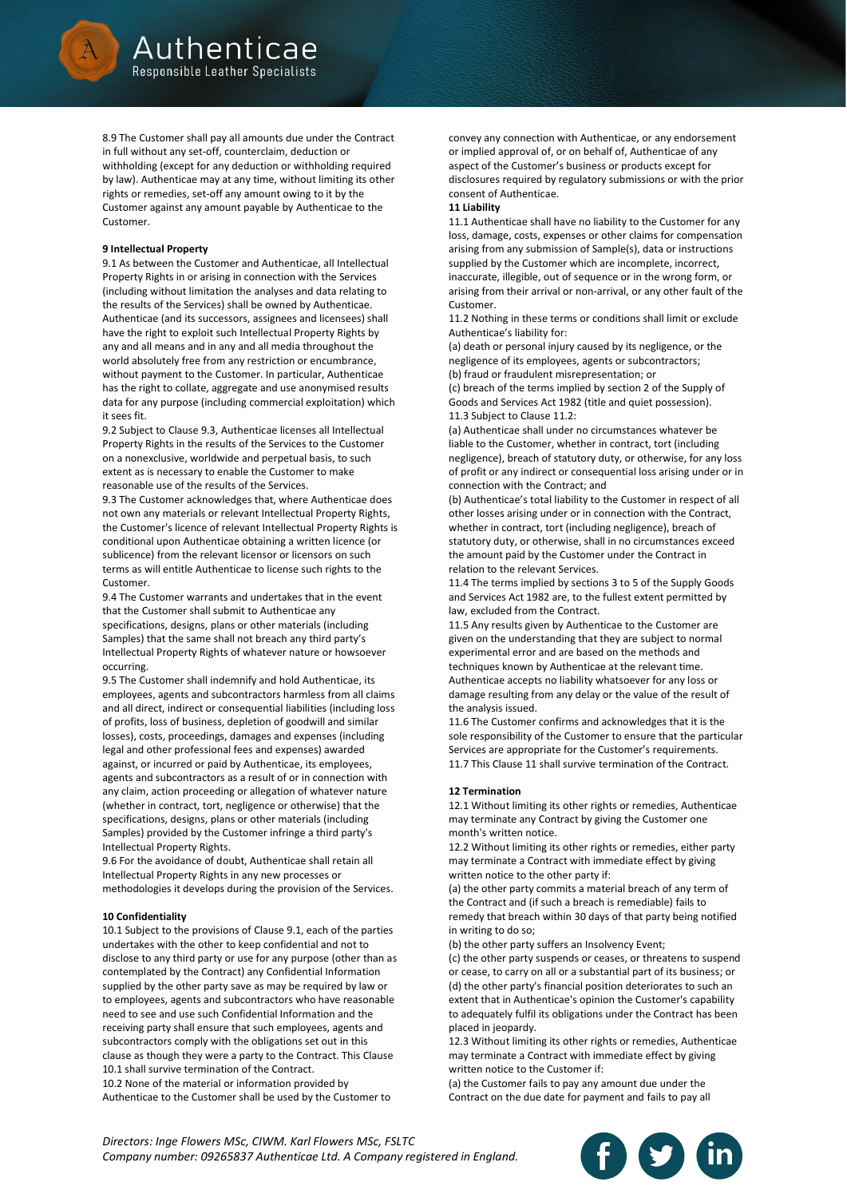8.9 The Customer shall pay all amounts due under the Contract in full without any set-off, counterclaim, deduction or withholding (except for any deduction or withholding required by law). Authenticae may at any time, without limiting its other rights or remedies, set-off any amount owing to it by the Customer against any amount payable by Authenticae to the Customer.

# **9 Intellectual Property**

9.1 As between the Customer and Authenticae, all Intellectual Property Rights in or arising in connection with the Services (including without limitation the analyses and data relating to the results of the Services) shall be owned by Authenticae. Authenticae (and its successors, assignees and licensees) shall have the right to exploit such Intellectual Property Rights by any and all means and in any and all media throughout the world absolutely free from any restriction or encumbrance, without payment to the Customer. In particular, Authenticae has the right to collate, aggregate and use anonymised results data for any purpose (including commercial exploitation) which it sees fit.

9.2 Subject to Clause 9.3, Authenticae licenses all Intellectual Property Rights in the results of the Services to the Customer on a nonexclusive, worldwide and perpetual basis, to such extent as is necessary to enable the Customer to make reasonable use of the results of the Services.

9.3 The Customer acknowledges that, where Authenticae does not own any materials or relevant Intellectual Property Rights, the Customer's licence of relevant Intellectual Property Rights is conditional upon Authenticae obtaining a written licence (or sublicence) from the relevant licensor or licensors on such terms as will entitle Authenticae to license such rights to the Customer.

9.4 The Customer warrants and undertakes that in the event that the Customer shall submit to Authenticae any specifications, designs, plans or other materials (including Samples) that the same shall not breach any third party's Intellectual Property Rights of whatever nature or howsoever occurring.

9.5 The Customer shall indemnify and hold Authenticae, its employees, agents and subcontractors harmless from all claims and all direct, indirect or consequential liabilities (including loss of profits, loss of business, depletion of goodwill and similar losses), costs, proceedings, damages and expenses (including legal and other professional fees and expenses) awarded against, or incurred or paid by Authenticae, its employees, agents and subcontractors as a result of or in connection with any claim, action proceeding or allegation of whatever nature (whether in contract, tort, negligence or otherwise) that the specifications, designs, plans or other materials (including Samples) provided by the Customer infringe a third party's Intellectual Property Rights.

9.6 For the avoidance of doubt, Authenticae shall retain all Intellectual Property Rights in any new processes or methodologies it develops during the provision of the Services.

#### **10 Confidentiality**

10.1 Subject to the provisions of Clause 9.1, each of the parties undertakes with the other to keep confidential and not to disclose to any third party or use for any purpose (other than as contemplated by the Contract) any Confidential Information supplied by the other party save as may be required by law or to employees, agents and subcontractors who have reasonable need to see and use such Confidential Information and the receiving party shall ensure that such employees, agents and subcontractors comply with the obligations set out in this clause as though they were a party to the Contract. This Clause 10.1 shall survive termination of the Contract. 10.2 None of the material or information provided by Authenticae to the Customer shall be used by the Customer to

convey any connection with Authenticae, or any endorsement or implied approval of, or on behalf of, Authenticae of any aspect of the Customer's business or products except for disclosures required by regulatory submissions or with the prior consent of Authenticae.

# **11 Liability**

11.1 Authenticae shall have no liability to the Customer for any loss, damage, costs, expenses or other claims for compensation arising from any submission of Sample(s), data or instructions supplied by the Customer which are incomplete, incorrect, inaccurate, illegible, out of sequence or in the wrong form, or arising from their arrival or non-arrival, or any other fault of the Customer.

11.2 Nothing in these terms or conditions shall limit or exclude Authenticae's liability for:

(a) death or personal injury caused by its negligence, or the negligence of its employees, agents or subcontractors;

(b) fraud or fraudulent misrepresentation; or (c) breach of the terms implied by section 2 of the Supply of Goods and Services Act 1982 (title and quiet possession). 11.3 Subject to Clause 11.2:

(a) Authenticae shall under no circumstances whatever be liable to the Customer, whether in contract, tort (including negligence), breach of statutory duty, or otherwise, for any loss of profit or any indirect or consequential loss arising under or in connection with the Contract; and

(b) Authenticae's total liability to the Customer in respect of all other losses arising under or in connection with the Contract, whether in contract, tort (including negligence), breach of statutory duty, or otherwise, shall in no circumstances exceed the amount paid by the Customer under the Contract in relation to the relevant Services.

11.4 The terms implied by sections 3 to 5 of the Supply Goods and Services Act 1982 are, to the fullest extent permitted by law, excluded from the Contract.

11.5 Any results given by Authenticae to the Customer are given on the understanding that they are subject to normal experimental error and are based on the methods and techniques known by Authenticae at the relevant time. Authenticae accepts no liability whatsoever for any loss or damage resulting from any delay or the value of the result of the analysis issued.

11.6 The Customer confirms and acknowledges that it is the sole responsibility of the Customer to ensure that the particular Services are appropriate for the Customer's requirements. 11.7 This Clause 11 shall survive termination of the Contract.

# **12 Termination**

12.1 Without limiting its other rights or remedies, Authenticae may terminate any Contract by giving the Customer one month's written notice.

12.2 Without limiting its other rights or remedies, either party may terminate a Contract with immediate effect by giving written notice to the other party if:

(a) the other party commits a material breach of any term of the Contract and (if such a breach is remediable) fails to remedy that breach within 30 days of that party being notified in writing to do so;

(b) the other party suffers an Insolvency Event;

(c) the other party suspends or ceases, or threatens to suspend or cease, to carry on all or a substantial part of its business; or (d) the other party's financial position deteriorates to such an extent that in Authenticae's opinion the Customer's capability to adequately fulfil its obligations under the Contract has been placed in jeopardy.

12.3 Without limiting its other rights or remedies, Authenticae may terminate a Contract with immediate effect by giving written notice to the Customer if:

(a) the Customer fails to pay any amount due under the Contract on the due date for payment and fails to pay all

*Directors: Inge Flowers MSc, CIWM. Karl Flowers MSc, FSLTC Company number: 09265837 Authenticae Ltd. A Company registered in England.* 

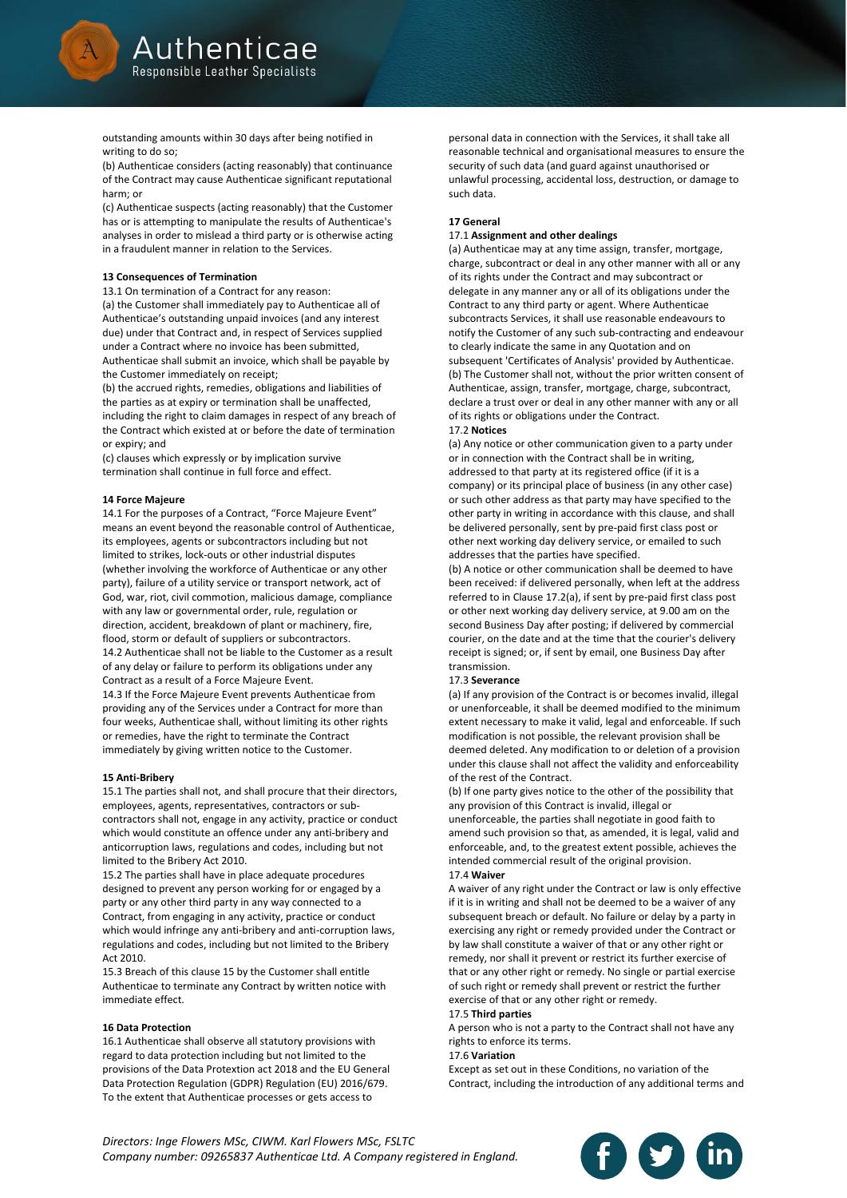

Responsible Leather Specialists

outstanding amounts within 30 days after being notified in writing to do so;

(b) Authenticae considers (acting reasonably) that continuance of the Contract may cause Authenticae significant reputational harm; or

(c) Authenticae suspects (acting reasonably) that the Customer has or is attempting to manipulate the results of Authenticae's analyses in order to mislead a third party or is otherwise acting in a fraudulent manner in relation to the Services.

# **13 Consequences of Termination**

13.1 On termination of a Contract for any reason:

(a) the Customer shall immediately pay to Authenticae all of Authenticae's outstanding unpaid invoices (and any interest due) under that Contract and, in respect of Services supplied under a Contract where no invoice has been submitted, Authenticae shall submit an invoice, which shall be payable by the Customer immediately on receipt;

(b) the accrued rights, remedies, obligations and liabilities of the parties as at expiry or termination shall be unaffected, including the right to claim damages in respect of any breach of the Contract which existed at or before the date of termination or expiry; and

(c) clauses which expressly or by implication survive termination shall continue in full force and effect.

# **14 Force Majeure**

14.1 For the purposes of a Contract, "Force Majeure Event" means an event beyond the reasonable control of Authenticae, its employees, agents or subcontractors including but not limited to strikes, lock-outs or other industrial disputes (whether involving the workforce of Authenticae or any other party), failure of a utility service or transport network, act of God, war, riot, civil commotion, malicious damage, compliance with any law or governmental order, rule, regulation or direction, accident, breakdown of plant or machinery, fire, flood, storm or default of suppliers or subcontractors. 14.2 Authenticae shall not be liable to the Customer as a result of any delay or failure to perform its obligations under any Contract as a result of a Force Majeure Event.

14.3 If the Force Majeure Event prevents Authenticae from providing any of the Services under a Contract for more than four weeks, Authenticae shall, without limiting its other rights or remedies, have the right to terminate the Contract immediately by giving written notice to the Customer.

#### **15 Anti-Bribery**

15.1 The parties shall not, and shall procure that their directors, employees, agents, representatives, contractors or subcontractors shall not, engage in any activity, practice or conduct which would constitute an offence under any anti-bribery and anticorruption laws, regulations and codes, including but not limited to the Bribery Act 2010.

15.2 The parties shall have in place adequate procedures designed to prevent any person working for or engaged by a party or any other third party in any way connected to a Contract, from engaging in any activity, practice or conduct which would infringe any anti-bribery and anti-corruption laws, regulations and codes, including but not limited to the Bribery Act 2010.

15.3 Breach of this clause 15 by the Customer shall entitle Authenticae to terminate any Contract by written notice with immediate effect.

#### **16 Data Protection**

16.1 Authenticae shall observe all statutory provisions with regard to data protection including but not limited to the provisions of the Data Protextion act 2018 and the EU General Data Protection Regulation (GDPR) Regulation (EU) 2016/679. To the extent that Authenticae processes or gets access to

personal data in connection with the Services, it shall take all reasonable technical and organisational measures to ensure the security of such data (and guard against unauthorised or unlawful processing, accidental loss, destruction, or damage to such data.

#### **17 General**

#### 17.1 **Assignment and other dealings**

(a) Authenticae may at any time assign, transfer, mortgage, charge, subcontract or deal in any other manner with all or any of its rights under the Contract and may subcontract or delegate in any manner any or all of its obligations under the Contract to any third party or agent. Where Authenticae subcontracts Services, it shall use reasonable endeavours to notify the Customer of any such sub-contracting and endeavour to clearly indicate the same in any Quotation and on subsequent 'Certificates of Analysis' provided by Authenticae. (b) The Customer shall not, without the prior written consent of Authenticae, assign, transfer, mortgage, charge, subcontract, declare a trust over or deal in any other manner with any or all of its rights or obligations under the Contract.

# 17.2 **Notices**

(a) Any notice or other communication given to a party under or in connection with the Contract shall be in writing, addressed to that party at its registered office (if it is a company) or its principal place of business (in any other case) or such other address as that party may have specified to the other party in writing in accordance with this clause, and shall be delivered personally, sent by pre-paid first class post or other next working day delivery service, or emailed to such addresses that the parties have specified.

(b) A notice or other communication shall be deemed to have been received: if delivered personally, when left at the address referred to in Clause 17.2(a), if sent by pre-paid first class post or other next working day delivery service, at 9.00 am on the second Business Day after posting; if delivered by commercial courier, on the date and at the time that the courier's delivery receipt is signed; or, if sent by email, one Business Day after transmission.

#### 17.3 **Severance**

(a) If any provision of the Contract is or becomes invalid, illegal or unenforceable, it shall be deemed modified to the minimum extent necessary to make it valid, legal and enforceable. If such modification is not possible, the relevant provision shall be deemed deleted. Any modification to or deletion of a provision under this clause shall not affect the validity and enforceability of the rest of the Contract.

(b) If one party gives notice to the other of the possibility that any provision of this Contract is invalid, illegal or

unenforceable, the parties shall negotiate in good faith to amend such provision so that, as amended, it is legal, valid and enforceable, and, to the greatest extent possible, achieves the intended commercial result of the original provision. 17.4 **Waiver**

A waiver of any right under the Contract or law is only effective if it is in writing and shall not be deemed to be a waiver of any subsequent breach or default. No failure or delay by a party in exercising any right or remedy provided under the Contract or by law shall constitute a waiver of that or any other right or remedy, nor shall it prevent or restrict its further exercise of that or any other right or remedy. No single or partial exercise of such right or remedy shall prevent or restrict the further exercise of that or any other right or remedy.

## 17.5 **Third parties**

A person who is not a party to the Contract shall not have any rights to enforce its terms.

## 17.6 **Variation**

Except as set out in these Conditions, no variation of the Contract, including the introduction of any additional terms and